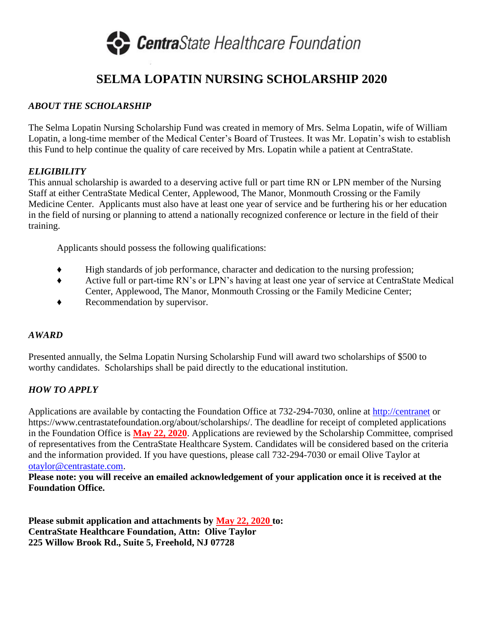

# **SELMA LOPATIN NURSING SCHOLARSHIP 2020**

### *ABOUT THE SCHOLARSHIP*

The Selma Lopatin Nursing Scholarship Fund was created in memory of Mrs. Selma Lopatin, wife of William Lopatin, a long-time member of the Medical Center's Board of Trustees. It was Mr. Lopatin's wish to establish this Fund to help continue the quality of care received by Mrs. Lopatin while a patient at CentraState.

#### *ELIGIBILITY*

This annual scholarship is awarded to a deserving active full or part time RN or LPN member of the Nursing Staff at either CentraState Medical Center, Applewood, The Manor, Monmouth Crossing or the Family Medicine Center. Applicants must also have at least one year of service and be furthering his or her education in the field of nursing or planning to attend a nationally recognized conference or lecture in the field of their training.

Applicants should possess the following qualifications:

- ♦ High standards of job performance, character and dedication to the nursing profession;
- ♦ Active full or part-time RN's or LPN's having at least one year of service at CentraState Medical Center, Applewood, The Manor, Monmouth Crossing or the Family Medicine Center;
- ♦ Recommendation by supervisor.

#### *AWARD*

Presented annually, the Selma Lopatin Nursing Scholarship Fund will award two scholarships of \$500 to worthy candidates. Scholarships shall be paid directly to the educational institution.

## *HOW TO APPLY*

Applications are available by contacting the Foundation Office at 732-294-7030, online at [http://centranet](http://centranet/) or https://www.centrastatefoundation.org/about/scholarships/. The deadline for receipt of completed applications in the Foundation Office is **May 22, 2020**. Applications are reviewed by the Scholarship Committee, comprised of representatives from the CentraState Healthcare System. Candidates will be considered based on the criteria and the information provided. If you have questions, please call 732-294-7030 or email Olive Taylor at [otaylor@centrastate.com.](mailto:otaylor@centrastate.com)

**Please note: you will receive an emailed acknowledgement of your application once it is received at the Foundation Office.**

**Please submit application and attachments by May 22, 2020 to: CentraState Healthcare Foundation, Attn: Olive Taylor 225 Willow Brook Rd., Suite 5, Freehold, NJ 07728**